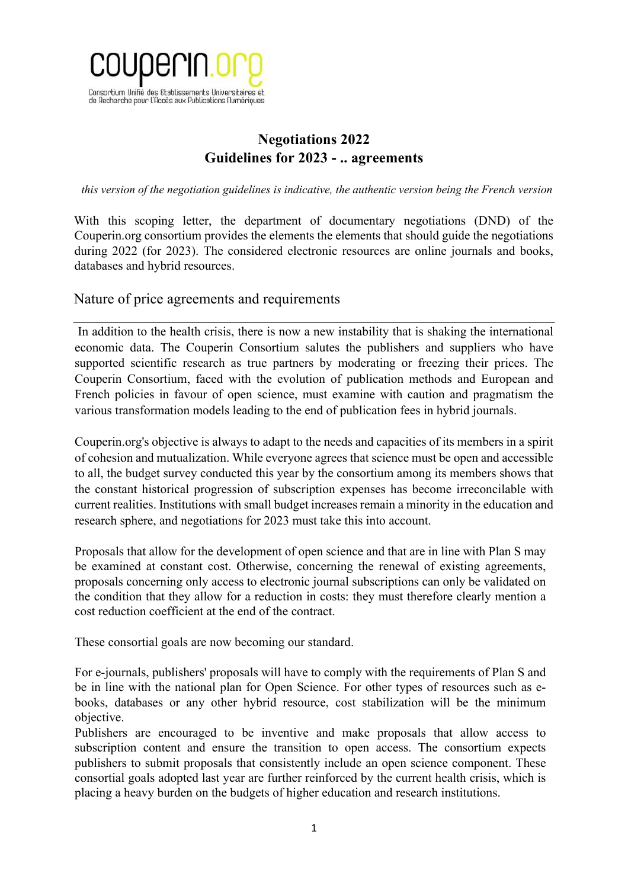

# **Negotiations 2022 Guidelines for 2023 - .. agreements**

*this version of the negotiation guidelines is indicative, the authentic version being the French version*

With this scoping letter, the department of documentary negotiations (DND) of the Couperin.org consortium provides the elements the elements that should guide the negotiations during 2022 (for 2023). The considered electronic resources are online journals and books, databases and hybrid resources.

Nature of price agreements and requirements

In addition to the health crisis, there is now a new instability that is shaking the international economic data. The Couperin Consortium salutes the publishers and suppliers who have supported scientific research as true partners by moderating or freezing their prices. The Couperin Consortium, faced with the evolution of publication methods and European and French policies in favour of open science, must examine with caution and pragmatism the various transformation models leading to the end of publication fees in hybrid journals.

Couperin.org's objective is always to adapt to the needs and capacities of its members in a spirit of cohesion and mutualization. While everyone agrees that science must be open and accessible to all, the budget survey conducted this year by the consortium among its members shows that the constant historical progression of subscription expenses has become irreconcilable with current realities. Institutions with small budget increases remain a minority in the education and research sphere, and negotiations for 2023 must take this into account.

Proposals that allow for the development of open science and that are in line with Plan S may be examined at constant cost. Otherwise, concerning the renewal of existing agreements, proposals concerning only access to electronic journal subscriptions can only be validated on the condition that they allow for a reduction in costs: they must therefore clearly mention a cost reduction coefficient at the end of the contract.

These consortial goals are now becoming our standard.

For e-journals, publishers' proposals will have to comply with the requirements of Plan S and be in line with the national plan for Open Science. For other types of resources such as ebooks, databases or any other hybrid resource, cost stabilization will be the minimum objective.

Publishers are encouraged to be inventive and make proposals that allow access to subscription content and ensure the transition to open access. The consortium expects publishers to submit proposals that consistently include an open science component. These consortial goals adopted last year are further reinforced by the current health crisis, which is placing a heavy burden on the budgets of higher education and research institutions.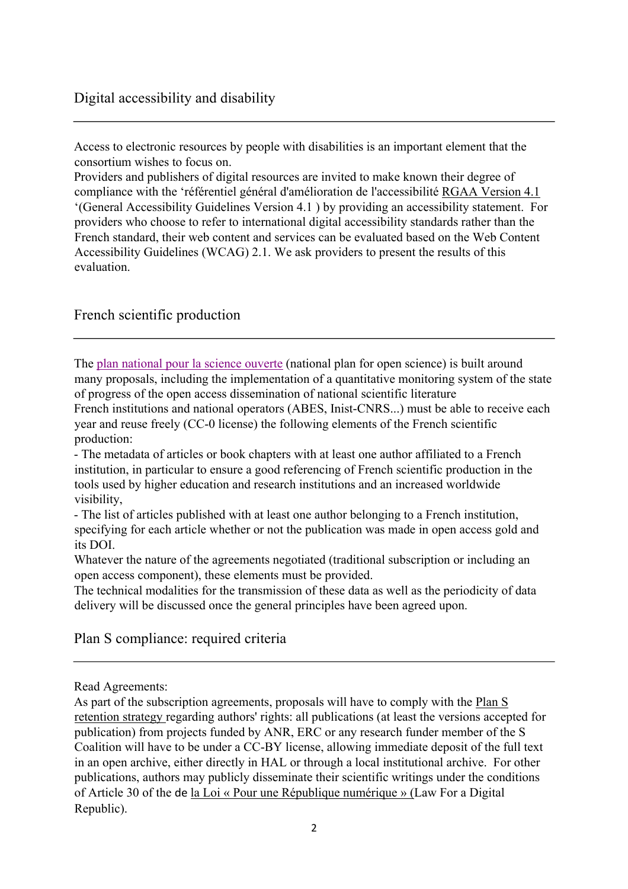Access to electronic resources by people with disabilities is an important element that the consortium wishes to focus on.

Providers and publishers of digital resources are invited to make known their degree of compliance with the 'référentiel général d'amélioration de l'accessibilité RGAA Version 4.1 '(General Accessibility Guidelines Version 4.1 ) by providing an accessibility statement. For providers who choose to refer to international digital accessibility standards rather than the French standard, their web content and services can be evaluated based on the Web Content Accessibility Guidelines (WCAG) 2.1. We ask providers to present the results of this evaluation.

# French scientific production

The plan national pour la science ouverte (national plan for open science) is built around many proposals, including the implementation of a quantitative monitoring system of the state of progress of the open access dissemination of national scientific literature French institutions and national operators (ABES, Inist-CNRS...) must be able to receive each

year and reuse freely (CC-0 license) the following elements of the French scientific production:

- The metadata of articles or book chapters with at least one author affiliated to a French institution, in particular to ensure a good referencing of French scientific production in the tools used by higher education and research institutions and an increased worldwide visibility,

- The list of articles published with at least one author belonging to a French institution, specifying for each article whether or not the publication was made in open access gold and its DOI.

Whatever the nature of the agreements negotiated (traditional subscription or including an open access component), these elements must be provided.

The technical modalities for the transmission of these data as well as the periodicity of data delivery will be discussed once the general principles have been agreed upon.

Plan S compliance: required criteria

Read Agreements:

As part of the subscription agreements, proposals will have to comply with the Plan S retention strategy regarding authors' rights: all publications (at least the versions accepted for publication) from projects funded by ANR, ERC or any research funder member of the S Coalition will have to be under a CC-BY license, allowing immediate deposit of the full text in an open archive, either directly in HAL or through a local institutional archive. For other publications, authors may publicly disseminate their scientific writings under the conditions of Article 30 of the de la Loi « Pour une République numérique » (Law For a Digital Republic).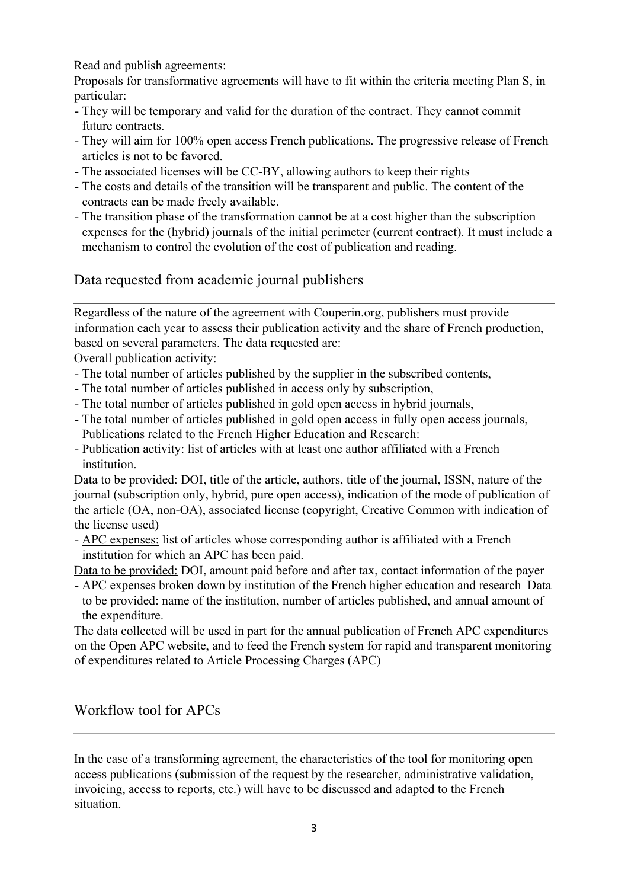Read and publish agreements:

Proposals for transformative agreements will have to fit within the criteria meeting Plan S, in particular:

- They will be temporary and valid for the duration of the contract. They cannot commit future contracts.
- They will aim for 100% open access French publications. The progressive release of French articles is not to be favored.
- The associated licenses will be CC-BY, allowing authors to keep their rights
- The costs and details of the transition will be transparent and public. The content of the contracts can be made freely available.
- The transition phase of the transformation cannot be at a cost higher than the subscription expenses for the (hybrid) journals of the initial perimeter (current contract). It must include a mechanism to control the evolution of the cost of publication and reading.

Data requested from academic journal publishers

Regardless of the nature of the agreement with Couperin.org, publishers must provide information each year to assess their publication activity and the share of French production, based on several parameters. The data requested are:

Overall publication activity:

- The total number of articles published by the supplier in the subscribed contents,
- The total number of articles published in access only by subscription,
- The total number of articles published in gold open access in hybrid journals,
- The total number of articles published in gold open access in fully open access journals, Publications related to the French Higher Education and Research:
- Publication activity: list of articles with at least one author affiliated with a French institution.

Data to be provided: DOI, title of the article, authors, title of the journal, ISSN, nature of the journal (subscription only, hybrid, pure open access), indication of the mode of publication of the article (OA, non-OA), associated license (copyright, Creative Common with indication of the license used)

- APC expenses: list of articles whose corresponding author is affiliated with a French institution for which an APC has been paid.

Data to be provided: DOI, amount paid before and after tax, contact information of the payer

- APC expenses broken down by institution of the French higher education and research Data to be provided: name of the institution, number of articles published, and annual amount of the expenditure.

The data collected will be used in part for the annual publication of French APC expenditures on the Open APC website, and to feed the French system for rapid and transparent monitoring of expenditures related to Article Processing Charges (APC)

Workflow tool for APCs

In the case of a transforming agreement, the characteristics of the tool for monitoring open access publications (submission of the request by the researcher, administrative validation, invoicing, access to reports, etc.) will have to be discussed and adapted to the French situation.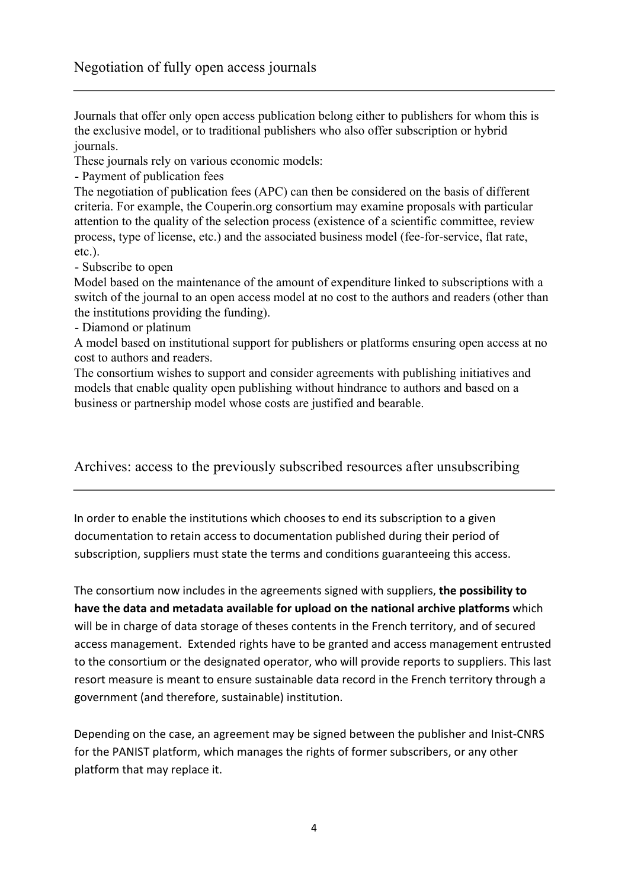Journals that offer only open access publication belong either to publishers for whom this is the exclusive model, or to traditional publishers who also offer subscription or hybrid journals.

These journals rely on various economic models:

- Payment of publication fees

The negotiation of publication fees (APC) can then be considered on the basis of different criteria. For example, the Couperin.org consortium may examine proposals with particular attention to the quality of the selection process (existence of a scientific committee, review process, type of license, etc.) and the associated business model (fee-for-service, flat rate, etc.).

- Subscribe to open

Model based on the maintenance of the amount of expenditure linked to subscriptions with a switch of the journal to an open access model at no cost to the authors and readers (other than the institutions providing the funding).

- Diamond or platinum

A model based on institutional support for publishers or platforms ensuring open access at no cost to authors and readers.

The consortium wishes to support and consider agreements with publishing initiatives and models that enable quality open publishing without hindrance to authors and based on a business or partnership model whose costs are justified and bearable.

Archives: access to the previously subscribed resources after unsubscribing

In order to enable the institutions which chooses to end its subscription to a given documentation to retain access to documentation published during their period of subscription, suppliers must state the terms and conditions guaranteeing this access.

The consortium now includes in the agreements signed with suppliers, **the possibility to have the data and metadata available for upload on the national archive platforms** which will be in charge of data storage of theses contents in the French territory, and of secured access management. Extended rights have to be granted and access management entrusted to the consortium or the designated operator, who will provide reports to suppliers. This last resort measure is meant to ensure sustainable data record in the French territory through a government (and therefore, sustainable) institution.

Depending on the case, an agreement may be signed between the publisher and Inist-CNRS for the PANIST platform, which manages the rights of former subscribers, or any other platform that may replace it.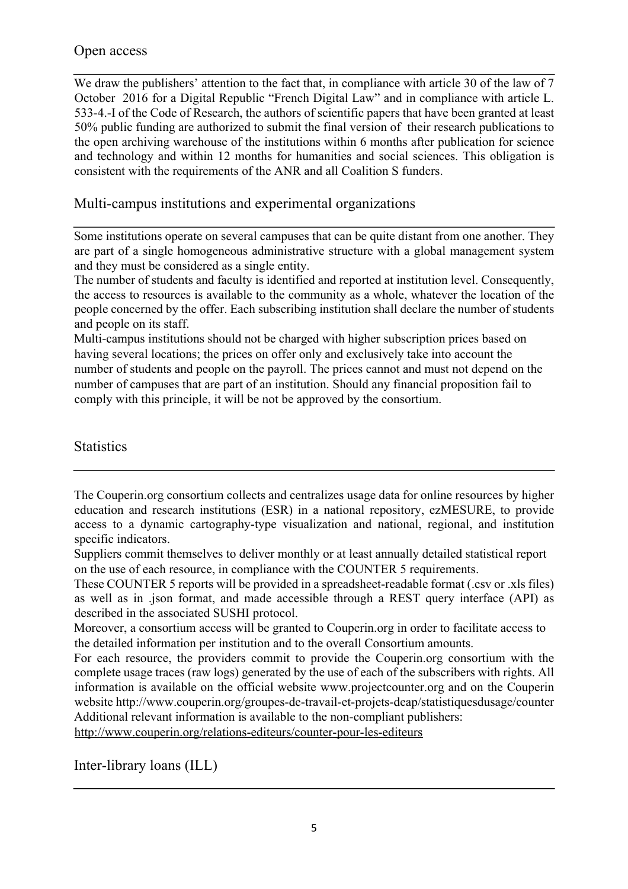# Open access

We draw the publishers' attention to the fact that, in compliance with article 30 of the law of 7 October 2016 for a Digital Republic "French Digital Law" and in compliance with article L. 533-4.-I of the Code of Research, the authors of scientific papers that have been granted at least 50% public funding are authorized to submit the final version of their research publications to the open archiving warehouse of the institutions within 6 months after publication for science and technology and within 12 months for humanities and social sciences. This obligation is consistent with the requirements of the ANR and all Coalition S funders.

# Multi-campus institutions and experimental organizations

Some institutions operate on several campuses that can be quite distant from one another. They are part of a single homogeneous administrative structure with a global management system and they must be considered as a single entity.

The number of students and faculty is identified and reported at institution level. Consequently, the access to resources is available to the community as a whole, whatever the location of the people concerned by the offer. Each subscribing institution shall declare the number of students and people on its staff.

Multi-campus institutions should not be charged with higher subscription prices based on having several locations; the prices on offer only and exclusively take into account the number of students and people on the payroll. The prices cannot and must not depend on the number of campuses that are part of an institution. Should any financial proposition fail to comply with this principle, it will be not be approved by the consortium.

# **Statistics**

http://www.couperin.org/relations-editeurs/counter-pour-les-editeurs

Inter-library loans (ILL)

The Couperin.org consortium collects and centralizes usage data for online resources by higher education and research institutions (ESR) in a national repository, ezMESURE, to provide access to a dynamic cartography-type visualization and national, regional, and institution specific indicators.

Suppliers commit themselves to deliver monthly or at least annually detailed statistical report on the use of each resource, in compliance with the COUNTER 5 requirements.

These COUNTER 5 reports will be provided in a spreadsheet-readable format (.csv or .xls files) as well as in .json format, and made accessible through a REST query interface (API) as described in the associated SUSHI protocol.

Moreover, a consortium access will be granted to Couperin.org in order to facilitate access to the detailed information per institution and to the overall Consortium amounts.

For each resource, the providers commit to provide the Couperin.org consortium with the complete usage traces (raw logs) generated by the use of each of the subscribers with rights. All information is available on the official website www.projectcounter.org and on the Couperin website http://www.couperin.org/groupes-de-travail-et-projets-deap/statistiquesdusage/counter Additional relevant information is available to the non-compliant publishers: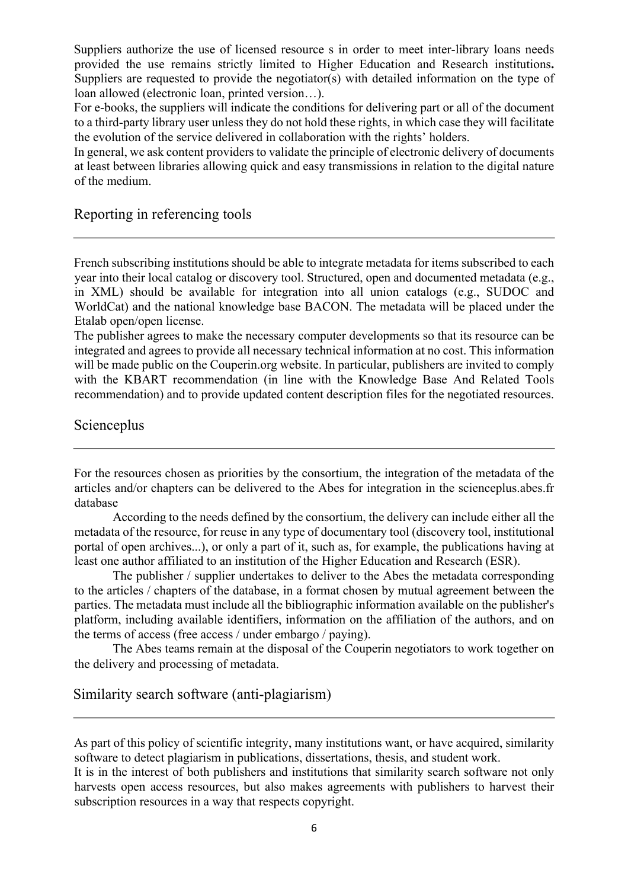Suppliers authorize the use of licensed resource s in order to meet inter-library loans needs provided the use remains strictly limited to Higher Education and Research institutions**.**  Suppliers are requested to provide the negotiator(s) with detailed information on the type of loan allowed (electronic loan, printed version…).

For e-books, the suppliers will indicate the conditions for delivering part or all of the document to a third-party library user unless they do not hold these rights, in which case they will facilitate the evolution of the service delivered in collaboration with the rights' holders.

In general, we ask content providers to validate the principle of electronic delivery of documents at least between libraries allowing quick and easy transmissions in relation to the digital nature of the medium.

#### Reporting in referencing tools

French subscribing institutions should be able to integrate metadata for items subscribed to each year into their local catalog or discovery tool. Structured, open and documented metadata (e.g., in XML) should be available for integration into all union catalogs (e.g., SUDOC and WorldCat) and the national knowledge base BACON. The metadata will be placed under the Etalab open/open license.

The publisher agrees to make the necessary computer developments so that its resource can be integrated and agrees to provide all necessary technical information at no cost. This information will be made public on the Couperin.org website. In particular, publishers are invited to comply with the KBART recommendation (in line with the Knowledge Base And Related Tools recommendation) and to provide updated content description files for the negotiated resources.

#### Scienceplus

For the resources chosen as priorities by the consortium, the integration of the metadata of the articles and/or chapters can be delivered to the Abes for integration in the scienceplus.abes.fr database

According to the needs defined by the consortium, the delivery can include either all the metadata of the resource, for reuse in any type of documentary tool (discovery tool, institutional portal of open archives...), or only a part of it, such as, for example, the publications having at least one author affiliated to an institution of the Higher Education and Research (ESR).

The publisher / supplier undertakes to deliver to the Abes the metadata corresponding to the articles / chapters of the database, in a format chosen by mutual agreement between the parties. The metadata must include all the bibliographic information available on the publisher's platform, including available identifiers, information on the affiliation of the authors, and on the terms of access (free access / under embargo / paying).

The Abes teams remain at the disposal of the Couperin negotiators to work together on the delivery and processing of metadata.

## Similarity search software (anti-plagiarism)

As part of this policy of scientific integrity, many institutions want, or have acquired, similarity software to detect plagiarism in publications, dissertations, thesis, and student work.

It is in the interest of both publishers and institutions that similarity search software not only harvests open access resources, but also makes agreements with publishers to harvest their subscription resources in a way that respects copyright.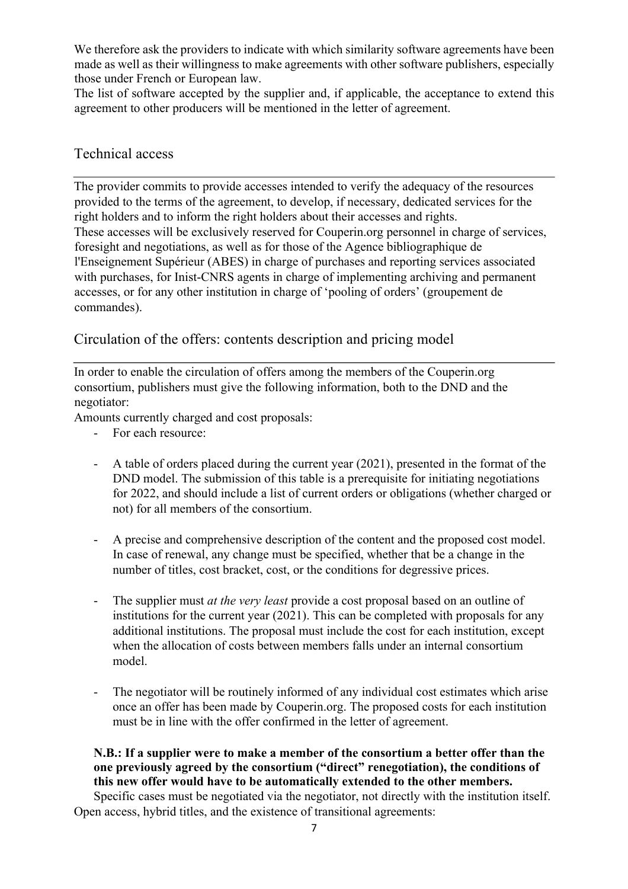We therefore ask the providers to indicate with which similarity software agreements have been made as well as their willingness to make agreements with other software publishers, especially those under French or European law.

The list of software accepted by the supplier and, if applicable, the acceptance to extend this agreement to other producers will be mentioned in the letter of agreement.

## Technical access

The provider commits to provide accesses intended to verify the adequacy of the resources provided to the terms of the agreement, to develop, if necessary, dedicated services for the right holders and to inform the right holders about their accesses and rights. These accesses will be exclusively reserved for Couperin.org personnel in charge of services, foresight and negotiations, as well as for those of the Agence bibliographique de l'Enseignement Supérieur (ABES) in charge of purchases and reporting services associated with purchases, for Inist-CNRS agents in charge of implementing archiving and permanent accesses, or for any other institution in charge of 'pooling of orders' (groupement de commandes).

Circulation of the offers: contents description and pricing model

In order to enable the circulation of offers among the members of the Couperin.org consortium, publishers must give the following information, both to the DND and the negotiator:

Amounts currently charged and cost proposals:

- For each resource:
- A table of orders placed during the current year (2021), presented in the format of the DND model. The submission of this table is a prerequisite for initiating negotiations for 2022, and should include a list of current orders or obligations (whether charged or not) for all members of the consortium.
- A precise and comprehensive description of the content and the proposed cost model. In case of renewal, any change must be specified, whether that be a change in the number of titles, cost bracket, cost, or the conditions for degressive prices.
- The supplier must *at the very least* provide a cost proposal based on an outline of institutions for the current year (2021). This can be completed with proposals for any additional institutions. The proposal must include the cost for each institution, except when the allocation of costs between members falls under an internal consortium model.
- The negotiator will be routinely informed of any individual cost estimates which arise once an offer has been made by Couperin.org. The proposed costs for each institution must be in line with the offer confirmed in the letter of agreement.

**N.B.: If a supplier were to make a member of the consortium a better offer than the one previously agreed by the consortium ("direct" renegotiation), the conditions of this new offer would have to be automatically extended to the other members.** 

Specific cases must be negotiated via the negotiator, not directly with the institution itself. Open access, hybrid titles, and the existence of transitional agreements: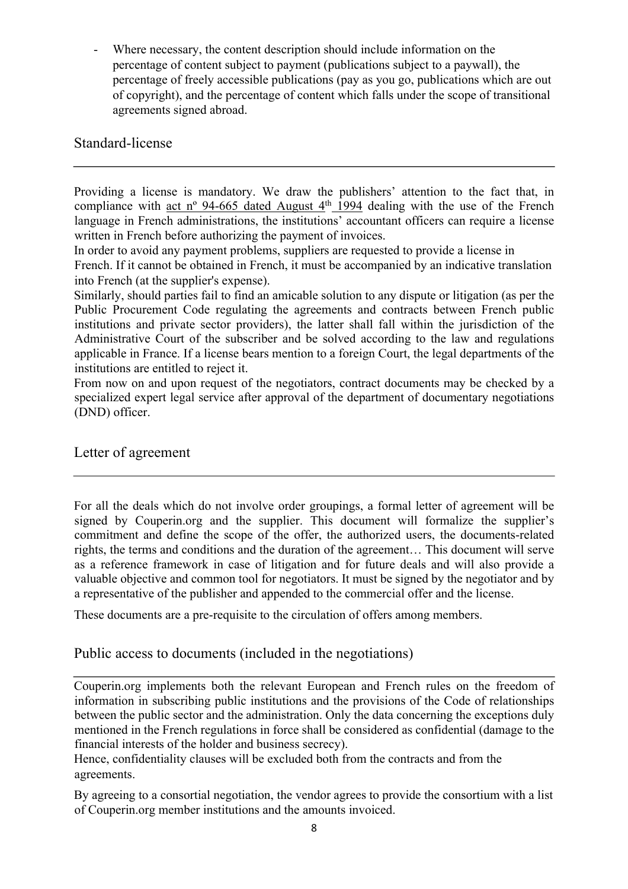Where necessary, the content description should include information on the percentage of content subject to payment (publications subject to a paywall), the percentage of freely accessible publications (pay as you go, publications which are out of copyright), and the percentage of content which falls under the scope of transitional agreements signed abroad.

# Standard-license

Providing a license is mandatory. We draw the publishers' attention to the fact that, in compliance with act nº 94-665 dated August  $4<sup>th</sup>$  1994 dealing with the use of the French language in French administrations, the institutions' accountant officers can require a license written in French before authorizing the payment of invoices.

In order to avoid any payment problems, suppliers are requested to provide a license in

French. If it cannot be obtained in French, it must be accompanied by an indicative translation into French (at the supplier's expense).

Similarly, should parties fail to find an amicable solution to any dispute or litigation (as per the Public Procurement Code regulating the agreements and contracts between French public institutions and private sector providers), the latter shall fall within the jurisdiction of the Administrative Court of the subscriber and be solved according to the law and regulations applicable in France. If a license bears mention to a foreign Court, the legal departments of the institutions are entitled to reject it.

From now on and upon request of the negotiators, contract documents may be checked by a specialized expert legal service after approval of the department of documentary negotiations (DND) officer.

Letter of agreement

For all the deals which do not involve order groupings, a formal letter of agreement will be signed by Couperin.org and the supplier. This document will formalize the supplier's commitment and define the scope of the offer, the authorized users, the documents-related rights, the terms and conditions and the duration of the agreement… This document will serve as a reference framework in case of litigation and for future deals and will also provide a valuable objective and common tool for negotiators. It must be signed by the negotiator and by a representative of the publisher and appended to the commercial offer and the license.

These documents are a pre-requisite to the circulation of offers among members.

Public access to documents (included in the negotiations)

Couperin.org implements both the relevant European and French rules on the freedom of information in subscribing public institutions and the provisions of the Code of relationships between the public sector and the administration. Only the data concerning the exceptions duly mentioned in the French regulations in force shall be considered as confidential (damage to the financial interests of the holder and business secrecy).

Hence, confidentiality clauses will be excluded both from the contracts and from the agreements.

By agreeing to a consortial negotiation, the vendor agrees to provide the consortium with a list of Couperin.org member institutions and the amounts invoiced.